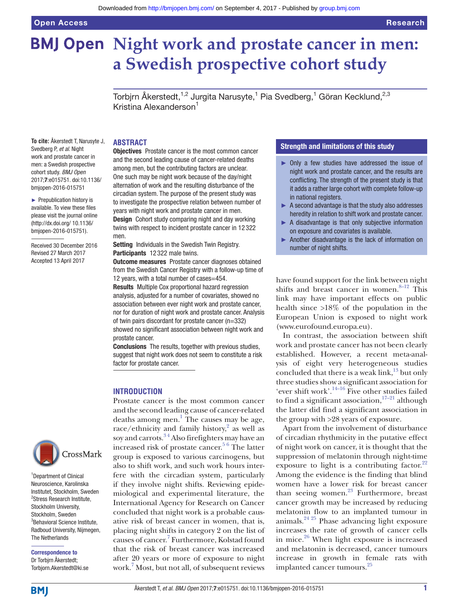# **BMJ Open Night work and prostate cancer in men: a Swedish prospective cohort study**

Torbjrn Åkerstedt, $^{\rm 1,2}$  Jurgita Narusyte, $^{\rm 1}$  Pia Svedberg, $^{\rm 1}$  Göran Kecklund, $^{\rm 2,3}$ Kristina Alexanderson<sup>1</sup>

**To cite:** Åkerstedt T, Narusyte J, Svedberg P, *et al*. Night work and prostate cancer in men: a Swedish prospective cohort study. *BMJ Open* 2017;7:e015751. doi:10.1136/ bmjopen-2016-015751

► Prepublication history is available. To view these files please visit the journal online [\(http://dx.doi.org/ 10.1136/](http://dx.doi.org/ 10.1136/bmjopen-2016-015751) [bmjopen-2016-015751](http://dx.doi.org/ 10.1136/bmjopen-2016-015751)).

Received 30 December 2016 Revised 27 March 2017 Accepted 13 April 2017

## **Abstract**

**Objectives** Prostate cancer is the most common cancer and the second leading cause of cancer-related deaths among men, but the contributing factors are unclear. One such may be night work because of the day/night alternation of work and the resulting disturbance of the circadian system. The purpose of the present study was to investigate the prospective relation between number of years with night work and prostate cancer in men. **Design** Cohort study comparing night and day working

twins with respect to incident prostate cancer in 12 322 men.

Setting Individuals in the Swedish Twin Registry. Participants 12322 male twins.

**Outcome measures** Prostate cancer diagnoses obtained from the Swedish Cancer Registry with a follow-up time of 12 years, with a total number of cases=454.

Results Multiple Cox proportional hazard regression analysis, adjusted for a number of covariates, showed no association between ever night work and prostate cancer, nor for duration of night work and prostate cancer. Analysis of twin pairs discordant for prostate cancer (n=332) showed no significant association between night work and prostate cancer.

Conclusions The results, together with previous studies, suggest that night work does not seem to constitute a risk factor for prostate cancer.

#### **Introduction**

Prostate cancer is the most common cancer and the second leading cause of cancer-related deaths among men. $<sup>1</sup>$  $<sup>1</sup>$  $<sup>1</sup>$  The causes may be age,</sup> race/ethnicity and family history, $2$  as well as soy and carrots.<sup>34</sup> Also firefighters may have an increased risk of prostate cancer.<sup>56</sup> The latter group is exposed to various carcinogens, but also to shift work, and such work hours interfere with the circadian system, particularly if they involve night shifts. Reviewing epidemiological and experimental literature, the International Agency for Research on Cancer concluded that night work is a probable causative risk of breast cancer in women, that is, placing night shifts in category 2 on the list of causes of cancer[.7](#page-4-4) Furthermore, Kolstad found that the risk of breast cancer was increased after 20 years or more of exposure to night work[.7](#page-4-4) Most, but not all, of subsequent reviews

#### Strength and limitations of this study

- ► Only a few studies have addressed the issue of night work and prostate cancer, and the results are conflicting. The strength of the present study is that it adds a rather large cohort with complete follow-up in national registers.
- $\blacktriangleright$  A second advantage is that the study also addresses heredity in relation to shift work and prostate cancer.
- ► A disadvantage is that only subjective information on exposure and covariates is available.
- ► Another disadvantage is the lack of information on number of night shifts.

have found support for the link between night shifts and breast cancer in women. $8-12$  This link may have important effects on public health since >18% of the population in the European Union is exposed to night work ([www.eurofound.europa.eu\)](www.eurofound.europa.eu).

In contrast, the association between shift work and prostate cancer has not been clearly established. However, a recent meta-analysis of eight very heterogeneous studies concluded that there is a weak link, $^{13}$  $^{13}$  $^{13}$  but only three studies show a significant association for 'ever shift work'.<sup>14–16</sup> Five other studies failed to find a significant association,  $17-21$  although the latter did find a significant association in the group with >28 years of exposure.

Apart from the involvement of disturbance of circadian rhythmicity in the putative effect of night work on cancer, it is thought that the suppression of melatonin through night-time exposure to light is a contributing factor. $22$ Among the evidence is the finding that blind women have a lower risk for breast cancer than seeing women.<sup>[23](#page-5-1)</sup> Furthermore, breast cancer growth may be increased by reducing melatonin flow to an implanted tumour in animals[.24 25](#page-5-2) Phase advancing light exposure increases the rate of growth of cancer cells in mice. $26$  When light exposure is increased and melatonin is decreased, cancer tumours increase in growth in female rats with implanted cancer tumours.<sup>[25](#page-5-4)</sup>



1 Department of Clinical Neuroscience, Karolinska Institutet, Stockholm, Sweden 2 Stress Research Institute, Stockholm University, Stockholm, Sweden 3 Behavioral Science Institute, Radboud University, Nijmegen, The Netherlands

Correspondence to Dr Torbjrn Åkerstedt; Torbjorn.Akerstedt@ki.se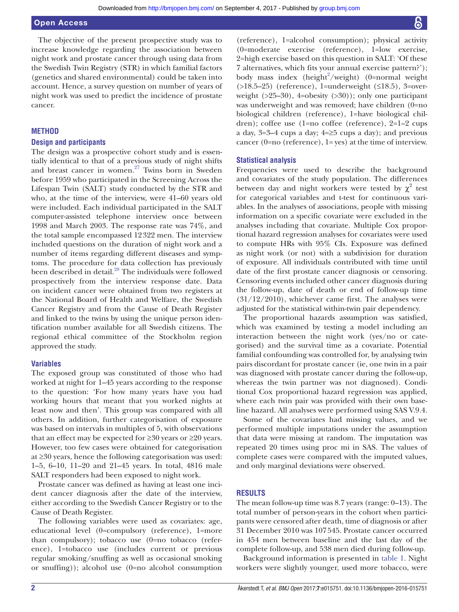The objective of the present prospective study was to increase knowledge regarding the association between night work and prostate cancer through using data from the Swedish Twin Registry (STR) in which familial factors (genetics and shared environmental) could be taken into account. Hence, a survey question on number of years of night work was used to predict the incidence of prostate cancer.

#### **Method**

### **Design and participants**

The design was a prospective cohort study and is essentially identical to that of a previous study of night shifts and breast cancer in women.<sup>[27](#page-5-5)</sup> Twins born in Sweden before 1959 who participated in the Screening Across the Lifespan Twin (SALT) study conducted by the STR and who, at the time of the interview, were 41–60 years old were included. Each individual participated in the SALT computer-assisted telephone interview once between 1998 and March 2003. The response rate was 74%, and the total sample encompassed 12322 men. The interview included questions on the duration of night work and a number of items regarding different diseases and symptoms. The procedure for data collection has previously been described in detail.<sup>[28](#page-5-6)</sup> The individuals were followed prospectively from the interview response date. Data on incident cancer were obtained from two registers at the National Board of Health and Welfare, the Swedish Cancer Registry and from the Cause of Death Register and linked to the twins by using the unique person identification number available for all Swedish citizens. The regional ethical committee of the Stockholm region approved the study.

#### **Variables**

The exposed group was constituted of those who had worked at night for 1–45 years according to the response to the question: 'For how many years have you had working hours that meant that you worked nights at least now and then'. This group was compared with all others. In addition, further categorisation of exposure was based on intervals in multiples of 5, with observations that an effect may be expected for  $\geq 30$  years or  $\geq 20$  years. However, too few cases were obtained for categorisation at ≥30 years, hence the following categorisation was used: 1–5, 6–10, 11–20 and 21–45 years. In total, 4816 male SALT responders had been exposed to night work.

Prostate cancer was defined as having at least one incident cancer diagnosis after the date of the interview, either according to the Swedish Cancer Registry or to the Cause of Death Register.

The following variables were used as covariates: age, educational level (0=compulsory (reference), 1=more than compulsory); tobacco use (0=no tobacco (reference), 1=tobacco use (includes current or previous regular smoking/snuffing as well as occasional smoking or snuffing)); alcohol use (0=no alcohol consumption

(0=moderate exercise (reference), 1=low exercise, 2=high exercise based on this question in SALT: 'Of these 7 alternatives, which fits your annual exercise pattern?'); body mass index (height<sup>[2](#page-4-1)</sup>/weight) (0=normal weight (>18.5–25) (reference), 1=underweight (≤18.5), 3=overweight  $(>25-30)$ , 4=obesity  $(>30)$ ; only one participant was underweight and was removed; have children (0=no biological children (reference), 1=have biological children); coffee use (1=no coffee (reference), 2=1–2 cups a day, 3=3–4 cups a day;  $4=\geq 5$  cups a day); and previous cancer (0=no (reference), 1= yes) at the time of interview.

(reference), 1=alcohol consumption); physical activity

### **Statistical analysis**

Frequencies were used to describe the background and covariates of the study population. The differences between day and night workers were tested by  $\chi^2$  test for categorical variables and t-test for continuous variables. In the analyses of associations, people with missing information on a specific covariate were excluded in the analyses including that covariate. Multiple Cox proportional hazard regression analyses for covariates were used to compute HRs with 95% CIs. Exposure was defined as night work (or not) with a subdivision for duration of exposure. All individuals contributed with time until date of the first prostate cancer diagnosis or censoring. Censoring events included other cancer diagnosis during the follow-up, date of death or end of follow-up time  $(31/12/2010)$ , whichever came first. The analyses were adjusted for the statistical within-twin pair dependency.

The proportional hazards assumption was satisfied, which was examined by testing a model including an interaction between the night work (yes/no or categorised) and the survival time as a covariate. Potential familial confounding was controlled for, by analysing twin pairs discordant for prostate cancer (ie, one twin in a pair was diagnosed with prostate cancer during the follow-up, whereas the twin partner was not diagnosed). Conditional Cox proportional hazard regression was applied, where each twin pair was provided with their own baseline hazard. All analyses were performed using SAS V.9.4.

Some of the covariates had missing values, and we performed multiple imputations under the assumption that data were missing at random. The imputation was repeated 20 times using proc mi in SAS. The values of complete cases were compared with the imputed values, and only marginal deviations were observed.

#### **Results**

The mean follow-up time was 8.7 years (range: 0–13). The total number of person-years in the cohort when participants were censored after death, time of diagnosis or after 31 December 2010 was 107545. Prostate cancer occurred in 454 men between baseline and the last day of the complete follow-up, and 538 men died during follow-up.

Background information is presented in [table](#page-2-0) 1. Night workers were slightly younger, used more tobacco, were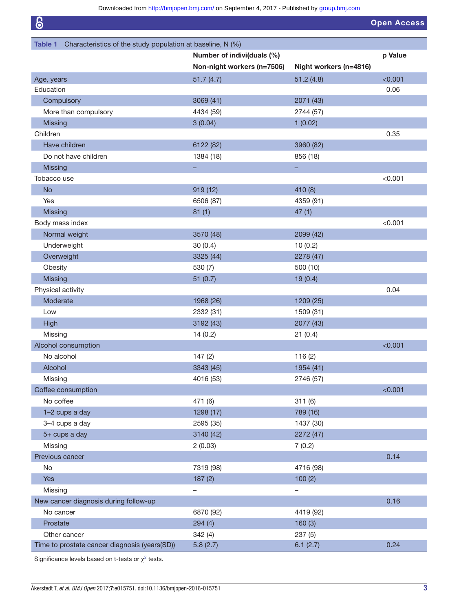$\overline{6}$ 

<span id="page-2-0"></span>

| 8                                                                     |                            |                        | <b>Open Access</b> |
|-----------------------------------------------------------------------|----------------------------|------------------------|--------------------|
| Table 1<br>Characteristics of the study population at baseline, N (%) |                            |                        |                    |
|                                                                       | Number of indivi(duals (%) |                        | p Value            |
|                                                                       | Non-night workers (n=7506) | Night workers (n=4816) |                    |
| Age, years                                                            | 51.7(4.7)                  | 51.2(4.8)              | < 0.001            |
| Education                                                             |                            |                        | 0.06               |
| Compulsory                                                            | 3069 (41)                  | 2071 (43)              |                    |
| More than compulsory                                                  | 4434 (59)                  | 2744 (57)              |                    |
| Missing                                                               | 3(0.04)                    | 1(0.02)                |                    |
| Children                                                              |                            |                        | 0.35               |
| Have children                                                         | 6122 (82)                  | 3960 (82)              |                    |
| Do not have children                                                  | 1384 (18)                  | 856 (18)               |                    |
| <b>Missing</b>                                                        |                            |                        |                    |
| Tobacco use                                                           |                            |                        | < 0.001            |
| <b>No</b>                                                             | 919(12)                    | 410 (8)                |                    |
| Yes                                                                   | 6506 (87)                  | 4359 (91)              |                    |
| Missing                                                               | 81(1)                      | 47(1)                  |                    |
| Body mass index                                                       |                            |                        | < 0.001            |
| Normal weight                                                         | 3570 (48)                  | 2099 (42)              |                    |
| Underweight                                                           | 30(0.4)                    | 10(0.2)                |                    |
| Overweight                                                            | 3325 (44)                  | 2278 (47)              |                    |
| Obesity                                                               | 530 (7)                    | 500 (10)               |                    |
| Missing                                                               | 51(0.7)                    | 19(0.4)                |                    |
| Physical activity                                                     |                            |                        | 0.04               |
| Moderate                                                              | 1968 (26)                  | 1209 (25)              |                    |
| Low                                                                   | 2332 (31)                  | 1509 (31)              |                    |
| High                                                                  | 3192 (43)                  | 2077 (43)              |                    |
| Missing                                                               | 14(0.2)                    | 21(0.4)                |                    |
| Alcohol consumption                                                   |                            |                        | < 0.001            |
| No alcohol                                                            | 147(2)                     | 116(2)                 |                    |
| Alcohol                                                               | 3343 (45)                  | 1954 (41)              |                    |
| Missing                                                               | 4016 (53)                  | 2746 (57)              |                    |
| Coffee consumption                                                    |                            |                        | < 0.001            |
| No coffee                                                             | 471 (6)                    | 311(6)                 |                    |
| 1-2 cups a day                                                        | 1298 (17)                  | 789 (16)               |                    |
| 3-4 cups a day                                                        | 2595 (35)                  | 1437 (30)              |                    |
| 5+ cups a day                                                         | 3140 (42)                  | 2272 (47)              |                    |
| Missing                                                               | 2(0.03)                    | 7(0.2)                 |                    |
| Previous cancer                                                       |                            |                        | 0.14               |
| No                                                                    | 7319 (98)                  | 4716 (98)              |                    |
| Yes                                                                   | 187(2)                     | 100(2)                 |                    |
| Missing                                                               | $\overline{\phantom{0}}$   | $\qquad \qquad -$      |                    |
| New cancer diagnosis during follow-up                                 |                            |                        | 0.16               |
| No cancer                                                             | 6870 (92)                  | 4419 (92)              |                    |
| Prostate                                                              | 294(4)                     | 160(3)                 |                    |
| Other cancer                                                          | 342 (4)                    | 237(5)                 |                    |

Time to prostate cancer diagnosis (years(SD)) 5.8 (2.7) 6.1 (2.7) 6.1 (2.7) 0.24

Significance levels based on t-tests or  $\chi^2$  $\chi^2$  tests.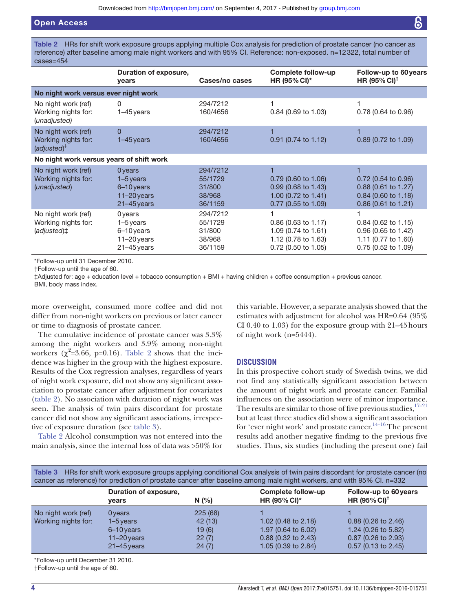### Open Access

<span id="page-3-0"></span>Table 2 HRs for shift work exposure groups applying multiple Cox analysis for prediction of prostate cancer (no cancer as reference) after baseline among male night workers and with 95% CI. Reference: non-exposed. n=12322, total number of cases=454

|                                                                       | Duration of exposure,<br>years                                             | Cases/no cases                                     | Complete follow-up<br>HR (95% CI)*                                                             | Follow-up to 60 years<br>HR $(95\% \text{ Cl})^{\dagger}$                                    |
|-----------------------------------------------------------------------|----------------------------------------------------------------------------|----------------------------------------------------|------------------------------------------------------------------------------------------------|----------------------------------------------------------------------------------------------|
| No night work versus ever night work                                  |                                                                            |                                                    |                                                                                                |                                                                                              |
| No night work (ref)<br>Working nights for:<br>(unadjusted)            | 0<br>$1-45$ years                                                          | 294/7212<br>160/4656                               | $0.84$ (0.69 to 1.03)                                                                          | $0.78$ (0.64 to 0.96)                                                                        |
| No night work (ref)<br>Working nights for:<br>$(adjusted)^{\ddagger}$ | $\Omega$<br>$1-45$ years                                                   | 294/7212<br>160/4656                               | $0.91$ (0.74 to 1.12)                                                                          | $0.89$ (0.72 to 1.09)                                                                        |
| No night work versus years of shift work                              |                                                                            |                                                    |                                                                                                |                                                                                              |
| No night work (ref)<br>Working nights for:<br>(unadjusted)            | 0 years<br>$1-5$ years<br>$6 - 10$ years<br>$11-20$ years<br>$21-45$ years | 294/7212<br>55/1729<br>31/800<br>38/968<br>36/1159 | $0.79$ (0.60 to 1.06)<br>$0.99$ (0.68 to 1.43)<br>1.00 (0.72 to 1.41)<br>$0.77$ (0.55 to 1.09) | $0.72$ (0.54 to 0.96)<br>0.88 (0.61 to 1.27)<br>0.84 (0.60 to 1.18)<br>$0.86$ (0.61 to 1.21) |
| No night work (ref)<br>Working nights for:<br>$(adjusted)$ ‡          | 0 years<br>$1-5$ years<br>6-10 years<br>$11-20$ years<br>$21 - 45$ years   | 294/7212<br>55/1729<br>31/800<br>38/968<br>36/1159 | $0.86$ (0.63 to 1.17)<br>1.09 (0.74 to 1.61)<br>1.12 (0.78 to 1.63)<br>$0.72$ (0.50 to 1.05)   | $0.84$ (0.62 to 1.15)<br>0.96 (0.65 to 1.42)<br>1.11 (0.77 to 1.60)<br>0.75 (0.52 to 1.09)   |

\*Follow-up until 31 December 2010.

†Follow-up until the age of 60.

‡Adjusted for: age + education level + tobacco consumption + BMI + having children + coffee consumption + previous cancer. BMI, body mass index.

more overweight, consumed more coffee and did not differ from non-night workers on previous or later cancer or time to diagnosis of prostate cancer.

The cumulative incidence of prostate cancer was 3.3% among the night workers and 3.9% among non-night workers  $(\chi^2=3.66, p=0.16)$ . [Table](#page-3-0) 2 shows that the incidence was higher in the group with the highest exposure. Results of the Cox regression analyses, regardless of years of night work exposure, did not show any significant association to prostate cancer after adjustment for covariates [\(table](#page-3-0) 2). No association with duration of night work was seen. The analysis of twin pairs discordant for prostate cancer did not show any significant associations, irrespective of exposure duration (see [table](#page-3-1) 3).

[Table](#page-3-0) 2 Alcohol consumption was not entered into the main analysis, since the internal loss of data was >50% for this variable. However, a separate analysis showed that the estimates with adjustment for alcohol was HR=0.64 (95% CI 0.40 to 1.03) for the exposure group with 21–45hours of night work (n=5444).

#### **Discussion**

In this prospective cohort study of Swedish twins, we did not find any statistically significant association between the amount of night work and prostate cancer. Familial influences on the association were of minor importance. The results are similar to those of five previous studies,  $17-21$ but at least three studies did show a significant association for 'ever night work' and prostate cancer.<sup>14-16</sup> The present results add another negative finding to the previous five studies. Thus, six studies (including the present one) fail

<span id="page-3-1"></span>

| Table 3 HRs for shift work exposure groups applying conditional Cox analysis of twin pairs discordant for prostate cancer (no |
|-------------------------------------------------------------------------------------------------------------------------------|
| cancer as reference) for prediction of prostate cancer after baseline among male night workers, and with 95% Cl. n=332        |

|                     | Duration of exposure,<br><b>vears</b> | N(%)    | Complete follow-up<br>HR $(95\%$ CI) <sup>*</sup> | Follow-up to 60 years<br>HR (95% CI) <sup>†</sup> |
|---------------------|---------------------------------------|---------|---------------------------------------------------|---------------------------------------------------|
| No night work (ref) | 0 years                               | 225(68) |                                                   |                                                   |
| Working nights for: | 1–5 years                             | 42(13)  | 1.02 (0.48 to 2.18)                               | 0.88 (0.26 to 2.46)                               |
|                     | $6 - 10$ years                        | 19(6)   | 1.97 (0.64 to 6.02)                               | 1.24 (0.26 to 5.82)                               |
|                     | $11 - 20$ years                       | 22(7)   | $0.88$ (0.32 to 2.43)                             | 0.87 (0.26 to 2.93)                               |
|                     | $21 - 45$ years                       | 24(7)   | 1.05 (0.39 to 2.84)                               | $0.57$ (0.13 to 2.45)                             |

\*Follow-up until December 31 2010.

†Follow-up until the age of 60.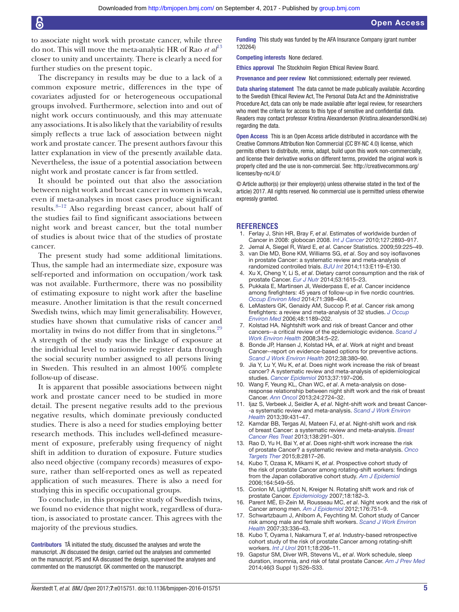to associate night work with prostate cancer, while three do not. This will move the meta-analytic HR of Rao *et al*[13](#page-4-6) closer to unity and uncertainty. There is clearly a need for further studies on the present topic.

The discrepancy in results may be due to a lack of a common exposure metric, differences in the type of covariates adjusted for or heterogeneous occupational groups involved. Furthermore, selection into and out of night work occurs continuously, and this may attenuate any associations. It is also likely that the variability of results simply reflects a true lack of association between night work and prostate cancer. The present authors favour this latter explanation in view of the presently available data. Nevertheless, the issue of a potential association between night work and prostate cancer is far from settled.

It should be pointed out that also the association between night work and breast cancer in women is weak, even if meta-analyses in most cases produce significant results. $8-12$  Also regarding breast cancer, about half of the studies fail to find significant associations between night work and breast cancer, but the total number of studies is about twice that of the studies of prostate cancer.

The present study had some additional limitations. Thus, the sample had an intermediate size, exposure was self-reported and information on occupation/work task was not available. Furthermore, there was no possibility of estimating exposure to night work after the baseline measure. Another limitation is that the result concerned Swedish twins, which may limit generalisability. However, studies have shown that cumulative risks of cancer and mortality in twins do not differ from that in singletons.<sup>29</sup> A strength of the study was the linkage of exposure at the individual level to nationwide register data through the social security number assigned to all persons living in Sweden. This resulted in an almost 100% complete follow-up of disease.

It is apparent that possible associations between night work and prostate cancer need to be studied in more detail. The present negative results add to the previous negative results, which dominate previously conducted studies. There is also a need for studies employing better research methods. This includes well-defined measurement of exposure, preferably using frequency of night shift in addition to duration of exposure. Future studies also need objective (company records) measures of exposure, rather than self-reported ones as well as repeated application of such measures. There is also a need for studying this in specific occupational groups.

To conclude, in this prospective study of Swedish twins, we found no evidence that night work, regardless of duration, is associated to prostate cancer. This agrees with the majority of the previous studies.

Contributors TÅ initiated the study, discussed the analyses and wrote the manuscript. JN discussed the design, carried out the analyses and commented on the manuscript. PS and KA discussed the design, supervised the analyses and commented on the manuscript. GK commented on the manuscript.

Funding This study was funded by the AFA Insurance Company (grant number 120264)

Competing interests None declared.

Ethics approval The Stockholm Region Ethical Review Board.

Provenance and peer review Not commissioned; externally peer reviewed.

Data sharing statement The data cannot be made publically available. According to the Swedish Ethical Review Act, The Personal Data Act and the Administrative Procedure Act, data can only be made available after legal review, for researchers who meet the criteria for access to this type of sensitive and confidential data. Readers may contact professor Kristina Alexanderson (Kristina.alexanderson@ki.se) regarding the data.

Open Access This is an Open Access article distributed in accordance with the Creative Commons Attribution Non Commercial (CC BY-NC 4.0) license, which permits others to distribute, remix, adapt, build upon this work non-commercially, and license their derivative works on different terms, provided the original work is properly cited and the use is non-commercial. See: [http://creativecommons.org/](http://creativecommons.org/licenses/by-nc/4.0/) [licenses/by-nc/4.0/](http://creativecommons.org/licenses/by-nc/4.0/)

© Article author(s) (or their employer(s) unless otherwise stated in the text of the article) 2017. All rights reserved. No commercial use is permitted unless otherwise expressly granted.

#### **References**

- <span id="page-4-0"></span>1. Ferlay J, Shin HR, Bray F, *et al*. Estimates of worldwide burden of Cancer in 2008: globocan 2008. *[Int J Cancer](http://dx.doi.org/10.1002/ijc.25516)* 2010;127:2893–917.
- <span id="page-4-2"></span><span id="page-4-1"></span>2. Jemal A, Siegel R, Ward E, *et al*. Cancer Statistics. 2009;59:225–49. 3. van Die MD, Bone KM, Williams SG, *et al*. Soy and soy isoflavones
- in prostate Cancer: a systematic review and meta-analysis of randomized controlled trials. *[BJU Int](http://dx.doi.org/10.1111/bju.12435)* 2014;113:E119–E130.
- 4. Xu X, Cheng Y, Li S, *et al*. Dietary carrot consumption and the risk of prostate Cancer. *[Eur J Nutr](http://dx.doi.org/10.1007/s00394-014-0667-2)* 2014;53:1615–23.
- <span id="page-4-3"></span>5. Pukkala E, Martinsen JI, Weiderpass E, *et al*. Cancer incidence among firefighters: 45 years of follow-up in five nordic countries. *[Occup Environ Med](http://dx.doi.org/10.1136/oemed-2013-101803)* 2014;71:398–404.
- 6. LeMasters GK, Genaidy AM, Succop P, *et al*. Cancer risk among firefighters: a review and meta-analysis of 32 studies. *[J Occup](http://dx.doi.org/10.1097/01.jom.0000246229.68697.90)  [Environ Med](http://dx.doi.org/10.1097/01.jom.0000246229.68697.90)* 2006;48:1189–202.
- <span id="page-4-4"></span>7. Kolstad HA. Nightshift work and risk of breast Cancer and other cancers--a critical review of the epidemiologic evidence. *[Scand J](http://dx.doi.org/10.5271/sjweh.1194)  [Work Environ Health](http://dx.doi.org/10.5271/sjweh.1194)* 2008;34:5–22.
- <span id="page-4-5"></span>8. Bonde JP, Hansen J, Kolstad HA, *et al*. Work at night and breast Cancer--report on evidence-based options for preventive actions. *[Scand J Work Environ Health](http://dx.doi.org/10.5271/sjweh.3282)* 2012;38:380–90.
- 9. Jia Y, Lu Y, Wu K, *et al*. Does night work increase the risk of breast cancer? A systematic review and meta-analysis of epidemiological studies. *[Cancer Epidemiol](http://dx.doi.org/10.1016/j.canep.2013.01.005)* 2013;37:197–206.
- 10. Wang F, Yeung KL, Chan WC, *et al*. A meta-analysis on doseresponse relationship between night shift work and the risk of breast Cancer. *[Ann Oncol](http://dx.doi.org/10.1093/annonc/mdt283)* 2013;24:2724–32.
- 11. Ijaz S, Verbeek J, Seidler A, *et al*. Night-shift work and breast Cancer- -a systematic review and meta-analysis. *[Scand J Work Environ](http://dx.doi.org/10.5271/sjweh.3371)  [Health](http://dx.doi.org/10.5271/sjweh.3371)* 2013;39:431–47.
- 12. Kamdar BB, Tergas AI, Mateen FJ, *et al*. Night-shift work and risk of breast Cancer: a systematic review and meta-analysis. *[Breast](http://dx.doi.org/10.1007/s10549-013-2433-1)  [Cancer Res Treat](http://dx.doi.org/10.1007/s10549-013-2433-1)* 2013;138:291–301.
- <span id="page-4-6"></span>13. Rao D, Yu H, Bai Y, *et al*. Does night-shift work increase the risk of prostate Cancer? a systematic review and meta-analysis. *[Onco](http://dx.doi.org/10.2147/OTT.S89769)  [Targets Ther](http://dx.doi.org/10.2147/OTT.S89769)* 2015;8:2817–26.
- <span id="page-4-7"></span>14. Kubo T, Ozasa K, Mikami K, *et al*. Prospective cohort study of the risk of prostate Cancer among rotating-shift workers: findings from the Japan collaborative cohort study. *[Am J Epidemiol](http://dx.doi.org/10.1093/aje/kwj232)* 2006;164:549–55.
- 15. Conlon M, Lightfoot N, Kreiger N. Rotating shift work and risk of prostate Cancer. *[Epidemiology](http://dx.doi.org/10.1097/01.ede.0000249519.33978.31)* 2007;18:182–3.
- 16. Parent MÉ, El-Zein M, Rousseau MC, *et al*. Night work and the risk of Cancer among men. *[Am J Epidemiol](http://dx.doi.org/10.1093/aje/kws318)* 2012;176:751–9.
- <span id="page-4-8"></span>17. Schwartzbaum J, Ahlbom A, Feychting M. Cohort study of Cancer risk among male and female shift workers. *[Scand J Work Environ](http://dx.doi.org/10.5271/sjweh.1150)  [Health](http://dx.doi.org/10.5271/sjweh.1150)* 2007;33:336–43.
- 18. Kubo T, Oyama I, Nakamura T, *et al*. Industry-based retrospective cohort study of the risk of prostate Cancer among rotating-shift workers. *[Int J Urol](http://dx.doi.org/10.1111/j.1442-2042.2010.02714.x)* 2011;18:206–11.
- 19. Gapstur SM, Diver WR, Stevens VL, *et al*. Work schedule, sleep duration, insomnia, and risk of fatal prostate Cancer. *[Am J Prev Med](http://dx.doi.org/10.1016/j.amepre.2013.10.033)* 2014;46(3 Suppl 1):S26–S33.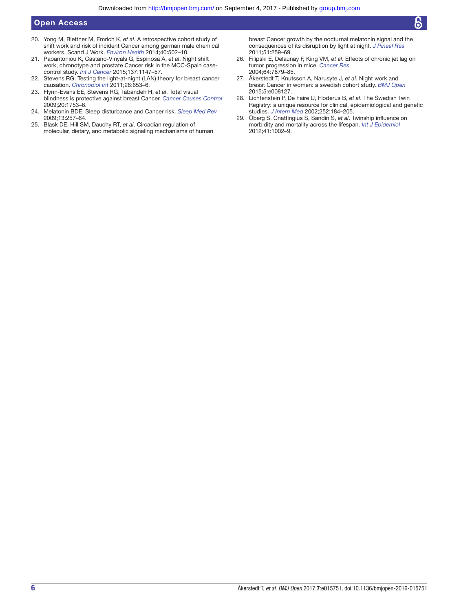#### Open Access

- 20. Yong M, Blettner M, Emrich K, *et al*. A retrospective cohort study of shift work and risk of incident Cancer among german male chemical workers. Scand J Work. *Environ Health* 2014;40:502–10.
- 21. Papantoniou K, Castaño-Vinyals G, Espinosa A, *et al*. Night shift work, chronotype and prostate Cancer risk in the MCC-Spain casecontrol study. *[Int J Cancer](http://dx.doi.org/10.1002/ijc.29400)* 2015;137:1147–57.
- <span id="page-5-0"></span>22. Stevens RG. Testing the light-at-night (LAN) theory for breast cancer causation. *[Chronobiol Int](http://dx.doi.org/10.3109/07420528.2011.606945)* 2011;28:653–6.
- <span id="page-5-1"></span>23. Flynn-Evans EE, Stevens RG, Tabandeh H, *et al*. Total visual blindness is protective against breast Cancer. *[Cancer Causes Control](http://dx.doi.org/10.1007/s10552-009-9405-0)* 2009;20:1753–6.
- <span id="page-5-2"></span>24. Melatonin BDE. Sleep disturbance and Cancer risk. *Sleep Med Rev* 2009;13:257–64.
- <span id="page-5-4"></span>25. Blask DE, Hill SM, Dauchy RT, *et al*. Circadian regulation of molecular, dietary, and metabolic signaling mechanisms of human

breast Cancer growth by the nocturnal melatonin signal and the consequences of its disruption by light at night. *[J Pineal Res](http://dx.doi.org/10.1111/j.1600-079X.2011.00888.x)* 2011;51:259–69.

- <span id="page-5-3"></span>26. Filipski E, Delaunay F, King VM, *et al*. Effects of chronic jet lag on tumor progression in mice. *[Cancer Res](http://dx.doi.org/10.1158/0008-5472.CAN-04-0674)* 2004;64:7879–85.
- <span id="page-5-5"></span>27. Åkerstedt T, Knutsson A, Narusyte J, *et al*. Night work and breast Cancer in women: a swedish cohort study. *[BMJ Open](http://dx.doi.org/10.1136/bmjopen-2015-008127)* 2015;5:e008127.
- <span id="page-5-6"></span>28. Lichtenstein P, De Faire U, Floderus B, *et al*. The Swedish Twin Registry: a unique resource for clinical, epidemiological and genetic studies. *[J Intern Med](http://dx.doi.org/10.1046/j.1365-2796.2002.01032.x)* 2002;252:184–205.
- <span id="page-5-7"></span>29. Öberg S, Cnattingius S, Sandin S, *et al*. Twinship influence on morbidity and mortality across the lifespan. *[Int J Epidemiol](http://dx.doi.org/10.1093/ije/dys067)* 2012;41:1002–9.